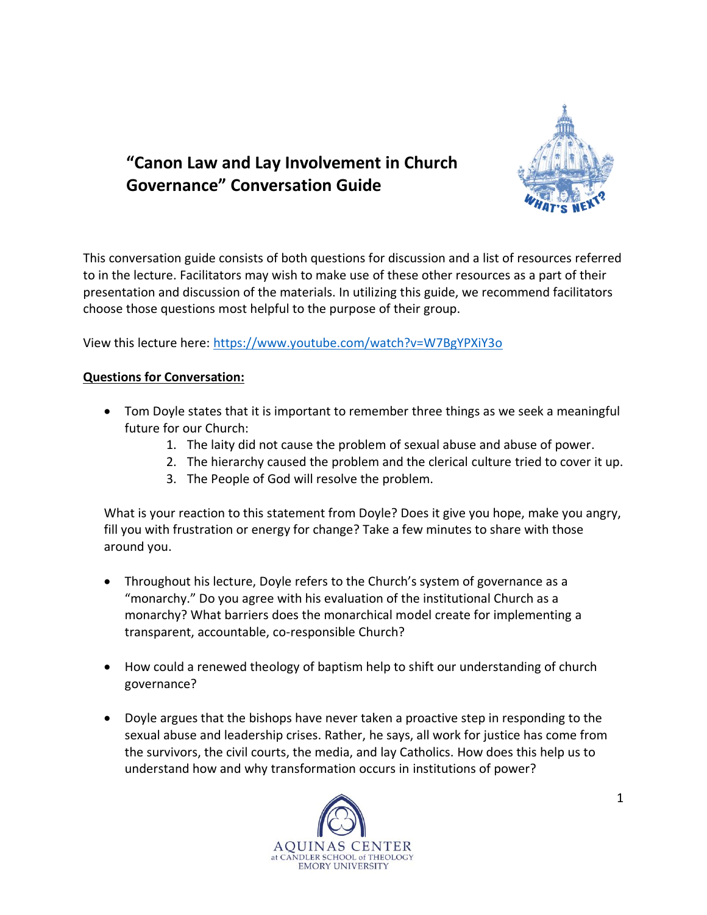

## **"Canon Law and Lay Involvement in Church Governance" Conversation Guide**

This conversation guide consists of both questions for discussion and a list of resources referred to in the lecture. Facilitators may wish to make use of these other resources as a part of their presentation and discussion of the materials. In utilizing this guide, we recommend facilitators choose those questions most helpful to the purpose of their group.

View this lecture here: <https://www.youtube.com/watch?v=W7BgYPXiY3o>

## **Questions for Conversation:**

- Tom Doyle states that it is important to remember three things as we seek a meaningful future for our Church:
	- 1. The laity did not cause the problem of sexual abuse and abuse of power.
	- 2. The hierarchy caused the problem and the clerical culture tried to cover it up.
	- 3. The People of God will resolve the problem.

What is your reaction to this statement from Doyle? Does it give you hope, make you angry, fill you with frustration or energy for change? Take a few minutes to share with those around you.

- Throughout his lecture, Doyle refers to the Church's system of governance as a "monarchy." Do you agree with his evaluation of the institutional Church as a monarchy? What barriers does the monarchical model create for implementing a transparent, accountable, co-responsible Church?
- How could a renewed theology of baptism help to shift our understanding of church governance?
- Doyle argues that the bishops have never taken a proactive step in responding to the sexual abuse and leadership crises. Rather, he says, all work for justice has come from the survivors, the civil courts, the media, and lay Catholics. How does this help us to understand how and why transformation occurs in institutions of power?

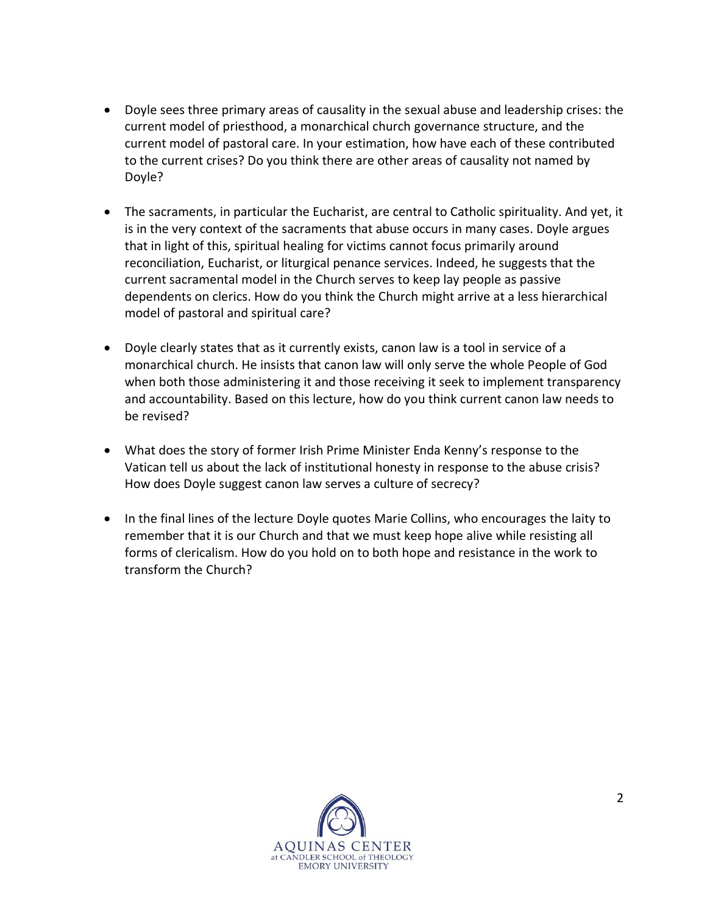- Doyle sees three primary areas of causality in the sexual abuse and leadership crises: the current model of priesthood, a monarchical church governance structure, and the current model of pastoral care. In your estimation, how have each of these contributed to the current crises? Do you think there are other areas of causality not named by Doyle?
- The sacraments, in particular the Eucharist, are central to Catholic spirituality. And yet, it is in the very context of the sacraments that abuse occurs in many cases. Doyle argues that in light of this, spiritual healing for victims cannot focus primarily around reconciliation, Eucharist, or liturgical penance services. Indeed, he suggests that the current sacramental model in the Church serves to keep lay people as passive dependents on clerics. How do you think the Church might arrive at a less hierarchical model of pastoral and spiritual care?
- Doyle clearly states that as it currently exists, canon law is a tool in service of a monarchical church. He insists that canon law will only serve the whole People of God when both those administering it and those receiving it seek to implement transparency and accountability. Based on this lecture, how do you think current canon law needs to be revised?
- What does the story of former Irish Prime Minister Enda Kenny's response to the Vatican tell us about the lack of institutional honesty in response to the abuse crisis? How does Doyle suggest canon law serves a culture of secrecy?
- In the final lines of the lecture Doyle quotes Marie Collins, who encourages the laity to remember that it is our Church and that we must keep hope alive while resisting all forms of clericalism. How do you hold on to both hope and resistance in the work to transform the Church?

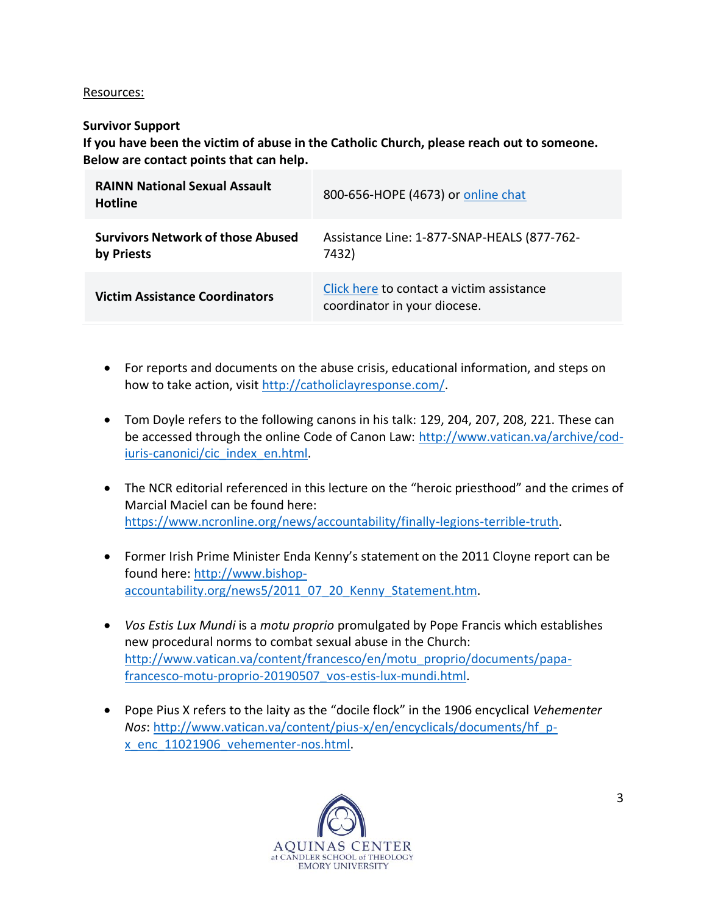## Resources:

## **Survivor Support**

**If you have been the victim of abuse in the Catholic Church, please reach out to someone. Below are contact points that can help.**

| <b>RAINN National Sexual Assault</b><br><b>Hotline</b> | 800-656-HOPE (4673) or online chat                                        |
|--------------------------------------------------------|---------------------------------------------------------------------------|
| <b>Survivors Network of those Abused</b><br>by Priests | Assistance Line: 1-877-SNAP-HEALS (877-762-<br>7432)                      |
| <b>Victim Assistance Coordinators</b>                  | Click here to contact a victim assistance<br>coordinator in your diocese. |

- For reports and documents on the abuse crisis, educational information, and steps on how to take action, visit [http://catholiclayresponse.com/.](http://catholiclayresponse.com/)
- Tom Doyle refers to the following canons in his talk: 129, 204, 207, 208, 221. These can be accessed through the online Code of Canon Law: [http://www.vatican.va/archive/cod](http://www.vatican.va/archive/cod-iuris-canonici/cic_index_en.html)[iuris-canonici/cic\\_index\\_en.html.](http://www.vatican.va/archive/cod-iuris-canonici/cic_index_en.html)
- The NCR editorial referenced in this lecture on the "heroic priesthood" and the crimes of Marcial Maciel can be found here: [https://www.ncronline.org/news/accountability/finally-legions-terrible-truth.](https://www.ncronline.org/news/accountability/finally-legions-terrible-truth)
- Former Irish Prime Minister Enda Kenny's statement on the 2011 Cloyne report can be found here: [http://www.bishop](http://www.bishop-accountability.org/news5/2011_07_20_Kenny_Statement.htm)[accountability.org/news5/2011\\_07\\_20\\_Kenny\\_Statement.htm.](http://www.bishop-accountability.org/news5/2011_07_20_Kenny_Statement.htm)
- *Vos Estis Lux Mundi* is a *motu proprio* promulgated by Pope Francis which establishes new procedural norms to combat sexual abuse in the Church: [http://www.vatican.va/content/francesco/en/motu\\_proprio/documents/papa](http://www.vatican.va/content/francesco/en/motu_proprio/documents/papa-francesco-motu-proprio-20190507_vos-estis-lux-mundi.html)[francesco-motu-proprio-20190507\\_vos-estis-lux-mundi.html.](http://www.vatican.va/content/francesco/en/motu_proprio/documents/papa-francesco-motu-proprio-20190507_vos-estis-lux-mundi.html)
- Pope Pius X refers to the laity as the "docile flock" in the 1906 encyclical *Vehementer Nos*[: http://www.vatican.va/content/pius-x/en/encyclicals/documents/hf\\_p](http://www.vatican.va/content/pius-x/en/encyclicals/documents/hf_p-x_enc_11021906_vehementer-nos.html)[x\\_enc\\_11021906\\_vehementer-nos.html.](http://www.vatican.va/content/pius-x/en/encyclicals/documents/hf_p-x_enc_11021906_vehementer-nos.html)